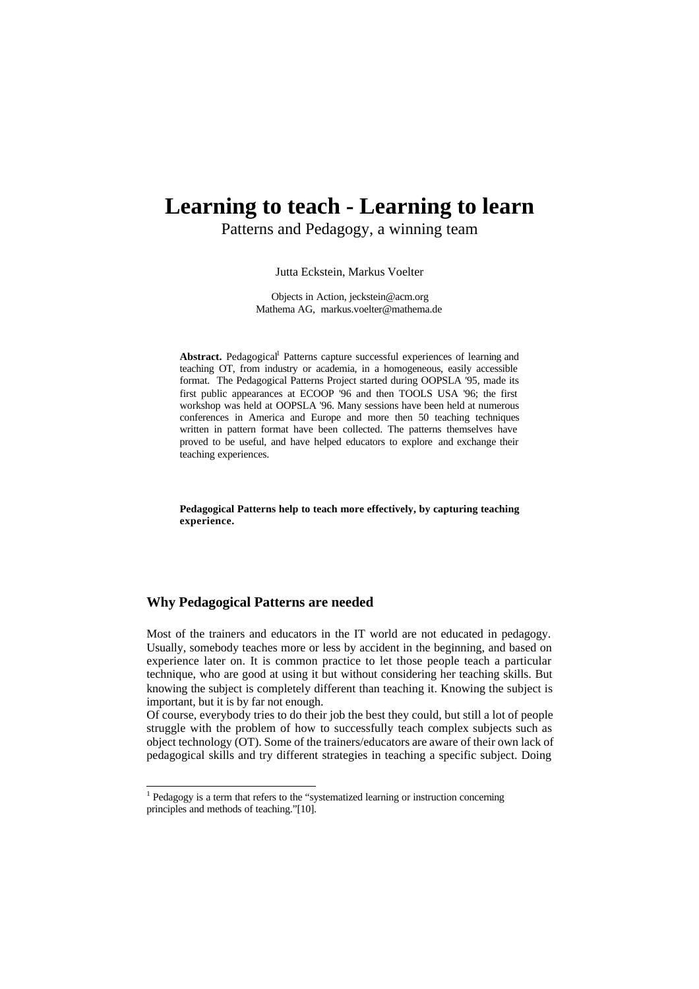# **Learning to teach - Learning to learn**

Patterns and Pedagogy, a winning team

Jutta Eckstein, Markus Voelter

Objects in Action, jeckstein@acm.org Mathema AG, markus.voelter@mathema.de

Abstract. Pedagogical<sup>1</sup> Patterns capture successful experiences of learning and teaching OT, from industry or academia, in a homogeneous, easily accessible format. The Pedagogical Patterns Project started during OOPSLA '95, made its first public appearances at ECOOP '96 and then TOOLS USA '96; the first workshop was held at OOPSLA '96. Many sessions have been held at numerous conferences in America and Europe and more then 50 teaching techniques written in pattern format have been collected. The patterns themselves have proved to be useful, and have helped educators to explore and exchange their teaching experiences.

**Pedagogical Patterns help to teach more effectively, by capturing teaching experience.**

## **Why Pedagogical Patterns are needed**

Most of the trainers and educators in the IT world are not educated in pedagogy. Usually, somebody teaches more or less by accident in the beginning, and based on experience later on. It is common practice to let those people teach a particular technique, who are good at using it but without considering her teaching skills. But knowing the subject is completely different than teaching it. Knowing the subject is important, but it is by far not enough.

Of course, everybody tries to do their job the best they could, but still a lot of people struggle with the problem of how to successfully teach complex subjects such as object technology (OT). Some of the trainers/educators are aware of their own lack of pedagogical skills and try different strategies in teaching a specific subject. Doing

principles and methods of teaching."[10].

<sup>&</sup>lt;sup>1</sup> Pedagogy is a term that refers to the "systematized learning or instruction concerning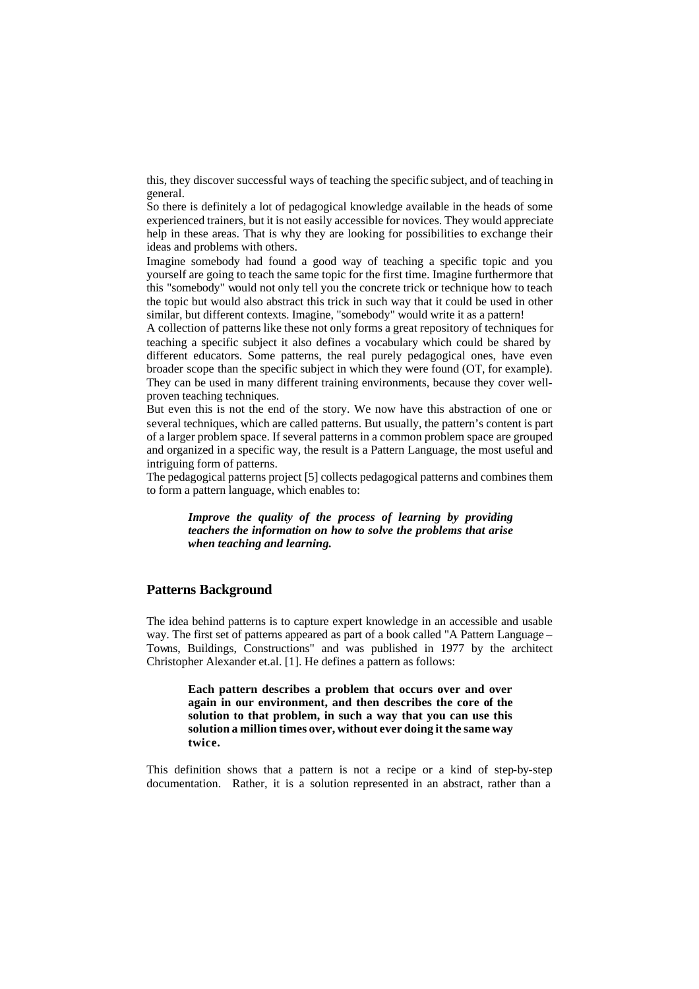this, they discover successful ways of teaching the specific subject, and of teaching in general.

So there is definitely a lot of pedagogical knowledge available in the heads of some experienced trainers, but it is not easily accessible for novices. They would appreciate help in these areas. That is why they are looking for possibilities to exchange their ideas and problems with others.

Imagine somebody had found a good way of teaching a specific topic and you yourself are going to teach the same topic for the first time. Imagine furthermore that this "somebody" would not only tell you the concrete trick or technique how to teach the topic but would also abstract this trick in such way that it could be used in other similar, but different contexts. Imagine, "somebody" would write it as a pattern!

A collection of patterns like these not only forms a great repository of techniques for teaching a specific subject it also defines a vocabulary which could be shared by different educators. Some patterns, the real purely pedagogical ones, have even broader scope than the specific subject in which they were found (OT, for example). They can be used in many different training environments, because they cover wellproven teaching techniques.

But even this is not the end of the story. We now have this abstraction of one or several techniques, which are called patterns. But usually, the pattern's content is part of a larger problem space. If several patterns in a common problem space are grouped and organized in a specific way, the result is a Pattern Language, the most useful and intriguing form of patterns.

The pedagogical patterns project [5] collects pedagogical patterns and combines them to form a pattern language, which enables to:

*Improve the quality of the process of learning by providing teachers the information on how to solve the problems that arise when teaching and learning.*

#### **Patterns Background**

The idea behind patterns is to capture expert knowledge in an accessible and usable way. The first set of patterns appeared as part of a book called "A Pattern Language – Towns, Buildings, Constructions" and was published in 1977 by the architect Christopher Alexander et.al. [1]. He defines a pattern as follows:

> **Each pattern describes a problem that occurs over and over again in our environment, and then describes the core of the solution to that problem, in such a way that you can use this solution a million times over, without ever doing it the same way twice.**

This definition shows that a pattern is not a recipe or a kind of step-by-step documentation. Rather, it is a solution represented in an abstract, rather than a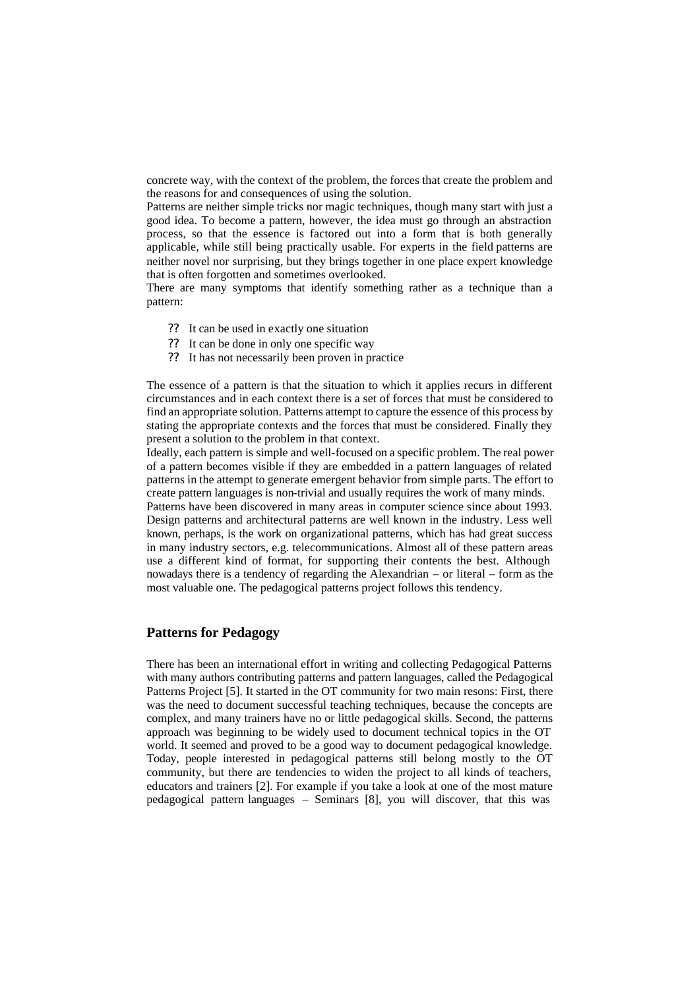concrete way, with the context of the problem, the forces that create the problem and the reasons for and consequences of using the solution.

Patterns are neither simple tricks nor magic techniques, though many start with just a good idea. To become a pattern, however, the idea must go through an abstraction process, so that the essence is factored out into a form that is both generally applicable, while still being practically usable. For experts in the field patterns are neither novel nor surprising, but they brings together in one place expert knowledge that is often forgotten and sometimes overlooked.

There are many symptoms that identify something rather as a technique than a pattern:

- ?? It can be used in exactly one situation
- ?? It can be done in only one specific way
- ?? It has not necessarily been proven in practice

The essence of a pattern is that the situation to which it applies recurs in different circumstances and in each context there is a set of forces that must be considered to find an appropriate solution. Patterns attempt to capture the essence of this process by stating the appropriate contexts and the forces that must be considered. Finally they present a solution to the problem in that context.

Ideally, each pattern is simple and well-focused on a specific problem. The real power of a pattern becomes visible if they are embedded in a pattern languages of related patterns in the attempt to generate emergent behavior from simple parts. The effort to create pattern languages is non-trivial and usually requires the work of many minds.

Patterns have been discovered in many areas in computer science since about 1993. Design patterns and architectural patterns are well known in the industry. Less well known, perhaps, is the work on organizational patterns, which has had great success in many industry sectors, e.g. telecommunications. Almost all of these pattern areas use a different kind of format, for supporting their contents the best. Although nowadays there is a tendency of regarding the Alexandrian – or literal – form as the most valuable one. The pedagogical patterns project follows this tendency.

## **Patterns for Pedagogy**

There has been an international effort in writing and collecting Pedagogical Patterns with many authors contributing patterns and pattern languages, called the Pedagogical Patterns Project [5]. It started in the OT community for two main resons: First, there was the need to document successful teaching techniques, because the concepts are complex, and many trainers have no or little pedagogical skills. Second, the patterns approach was beginning to be widely used to document technical topics in the OT world. It seemed and proved to be a good way to document pedagogical knowledge. Today, people interested in pedagogical patterns still belong mostly to the OT community, but there are tendencies to widen the project to all kinds of teachers, educators and trainers [2]. For example if you take a look at one of the most mature pedagogical pattern languages – Seminars [8], you will discover, that this was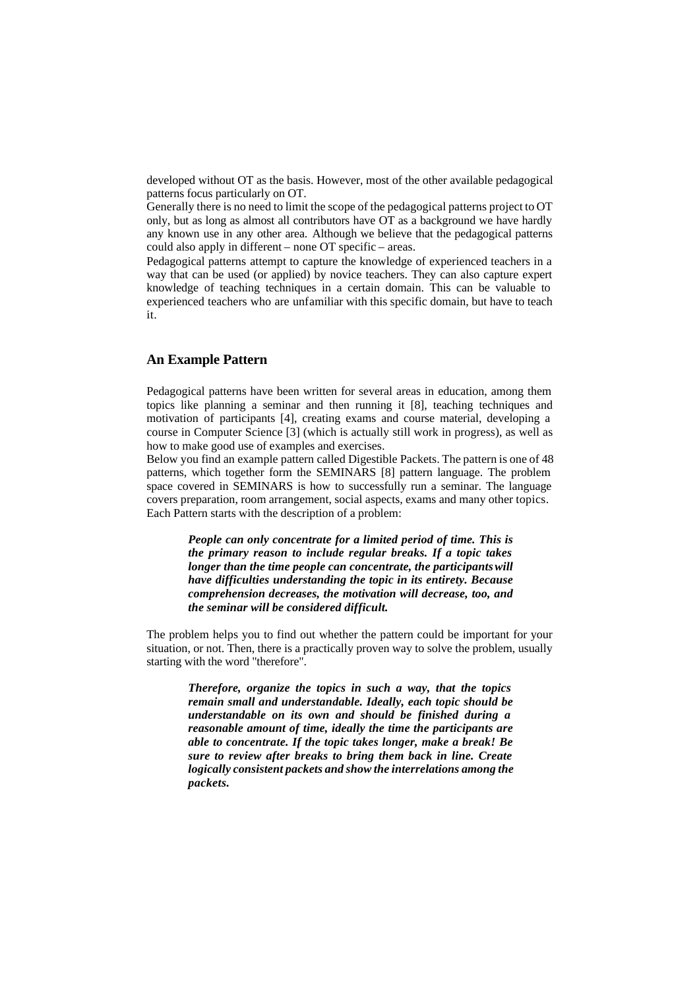developed without OT as the basis. However, most of the other available pedagogical patterns focus particularly on OT.

Generally there is no need to limit the scope of the pedagogical patterns project to OT only, but as long as almost all contributors have OT as a background we have hardly any known use in any other area. Although we believe that the pedagogical patterns could also apply in different – none OT specific – areas.

Pedagogical patterns attempt to capture the knowledge of experienced teachers in a way that can be used (or applied) by novice teachers. They can also capture expert knowledge of teaching techniques in a certain domain. This can be valuable to experienced teachers who are unfamiliar with this specific domain, but have to teach it.

#### **An Example Pattern**

Pedagogical patterns have been written for several areas in education, among them topics like planning a seminar and then running it [8], teaching techniques and motivation of participants [4], creating exams and course material, developing a course in Computer Science [3] (which is actually still work in progress), as well as how to make good use of examples and exercises.

Below you find an example pattern called Digestible Packets. The pattern is one of 48 patterns, which together form the SEMINARS [8] pattern language. The problem space covered in SEMINARS is how to successfully run a seminar. The language covers preparation, room arrangement, social aspects, exams and many other topics. Each Pattern starts with the description of a problem:

*People can only concentrate for a limited period of time. This is the primary reason to include regular breaks. If a topic takes longer than the time people can concentrate, the participants will have difficulties understanding the topic in its entirety. Because comprehension decreases, the motivation will decrease, too, and the seminar will be considered difficult.*

The problem helps you to find out whether the pattern could be important for your situation, or not. Then, there is a practically proven way to solve the problem, usually starting with the word "therefore".

*Therefore, organize the topics in such a way, that the topics remain small and understandable. Ideally, each topic should be understandable on its own and should be finished during a reasonable amount of time, ideally the time the participants are able to concentrate. If the topic takes longer, make a break! Be sure to review after breaks to bring them back in line. Create logically consistent packets and show the interrelations among the packets.*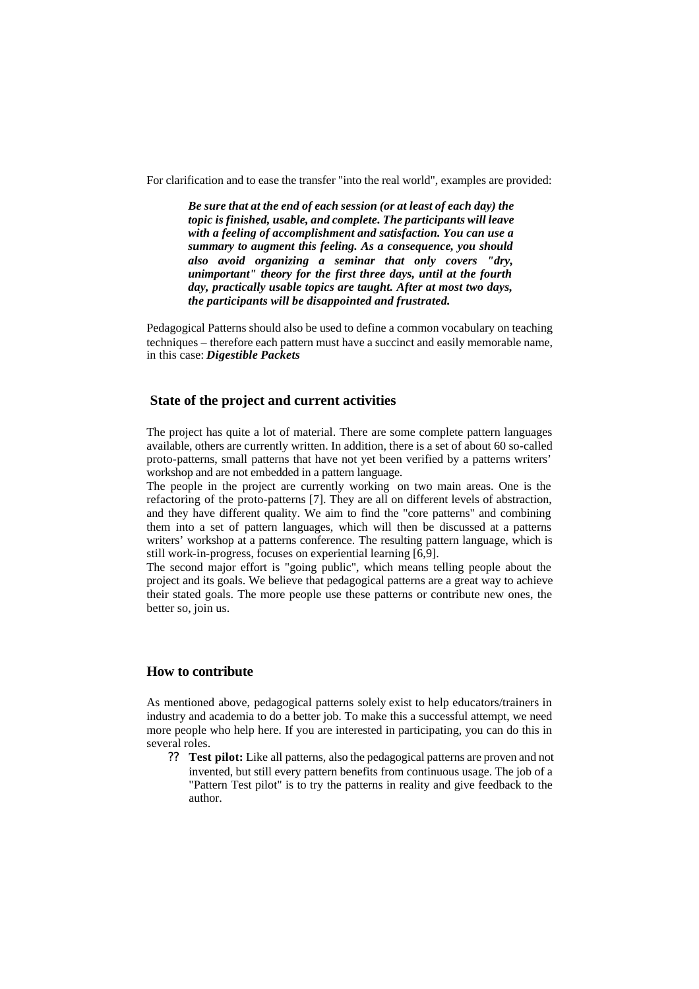For clarification and to ease the transfer "into the real world", examples are provided:

*Be sure that at the end of each session (or at least of each day) the topic is finished, usable, and complete. The participants will leave with a feeling of accomplishment and satisfaction. You can use a summary to augment this feeling. As a consequence, you should also avoid organizing a seminar that only covers "dry, unimportant" theory for the first three days, until at the fourth day, practically usable topics are taught. After at most two days, the participants will be disappointed and frustrated.*

Pedagogical Patterns should also be used to define a common vocabulary on teaching techniques – therefore each pattern must have a succinct and easily memorable name, in this case: *Digestible Packets*

#### **State of the project and current activities**

The project has quite a lot of material. There are some complete pattern languages available, others are currently written. In addition, there is a set of about 60 so-called proto-patterns, small patterns that have not yet been verified by a patterns writers' workshop and are not embedded in a pattern language.

The people in the project are currently working on two main areas. One is the refactoring of the proto-patterns [7]. They are all on different levels of abstraction, and they have different quality. We aim to find the "core patterns" and combining them into a set of pattern languages, which will then be discussed at a patterns writers' workshop at a patterns conference. The resulting pattern language, which is still work-in-progress, focuses on experiential learning [6,9].

The second major effort is "going public", which means telling people about the project and its goals. We believe that pedagogical patterns are a great way to achieve their stated goals. The more people use these patterns or contribute new ones, the better so, join us.

#### **How to contribute**

As mentioned above, pedagogical patterns solely exist to help educators/trainers in industry and academia to do a better job. To make this a successful attempt, we need more people who help here. If you are interested in participating, you can do this in several roles.

?? **Test pilot:** Like all patterns, also the pedagogical patterns are proven and not invented, but still every pattern benefits from continuous usage. The job of a "Pattern Test pilot" is to try the patterns in reality and give feedback to the author.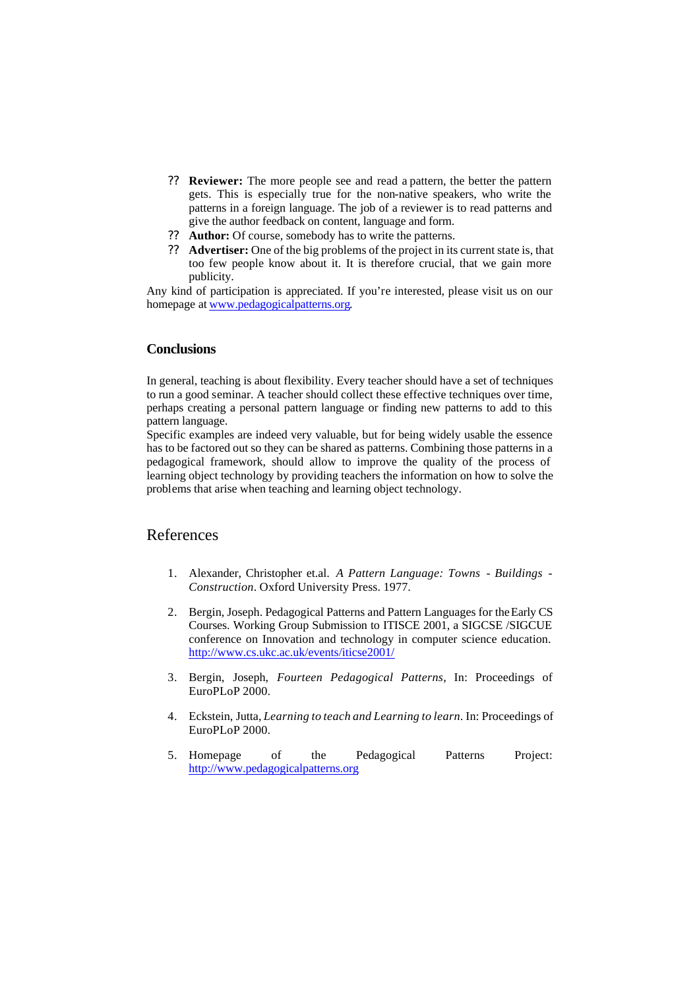- ?? **Reviewer:** The more people see and read a pattern, the better the pattern gets. This is especially true for the non-native speakers, who write the patterns in a foreign language. The job of a reviewer is to read patterns and give the author feedback on content, language and form.
- ?? **Author:** Of course, somebody has to write the patterns.
- ?? **Advertiser:** One of the big problems of the project in its current state is, that too few people know about it. It is therefore crucial, that we gain more publicity.

Any kind of participation is appreciated. If you're interested, please visit us on our homepage at www.pedagogicalpatterns.org.

## **Conclusions**

In general, teaching is about flexibility. Every teacher should have a set of techniques to run a good seminar. A teacher should collect these effective techniques over time, perhaps creating a personal pattern language or finding new patterns to add to this pattern language.

Specific examples are indeed very valuable, but for being widely usable the essence has to be factored out so they can be shared as patterns. Combining those patterns in a pedagogical framework, should allow to improve the quality of the process of learning object technology by providing teachers the information on how to solve the problems that arise when teaching and learning object technology.

## References

- 1. Alexander, Christopher et.al. *A Pattern Language: Towns Buildings - Construction*. Oxford University Press. 1977.
- 2. Bergin, Joseph. Pedagogical Patterns and Pattern Languages for the Early CS Courses. Working Group Submission to ITISCE 2001, a SIGCSE /SIGCUE conference on Innovation and technology in computer science education. http://www.cs.ukc.ac.uk/events/iticse2001/
- 3. Bergin, Joseph, *Fourteen Pedagogical Patterns*, In: Proceedings of EuroPLoP 2000.
- 4. Eckstein, Jutta, *Learning to teach and Learning to learn*. In: Proceedings of EuroPLoP 2000.
- 5. Homepage of the Pedagogical Patterns Project: http://www.pedagogicalpatterns.org